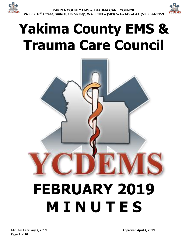

# **Yakima County EMS & Trauma Care Council**

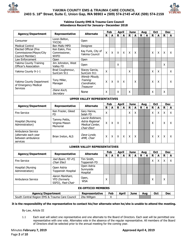



#### **Yakima County EMS & Trauma Care Council Attendance Record for January– December 2018**

| <b>Agency/Department</b>                                                   | Representative                                       | <b>Alternate</b>                                                      | Feb<br><b>April</b><br><b>June</b><br><b>Oct</b><br>Aug |     |             |              |             | <b>Dec</b>  |             |     |             |              |             |            |
|----------------------------------------------------------------------------|------------------------------------------------------|-----------------------------------------------------------------------|---------------------------------------------------------|-----|-------------|--------------|-------------|-------------|-------------|-----|-------------|--------------|-------------|------------|
|                                                                            |                                                      |                                                                       | R                                                       | A   | R.          | $\mathbf{A}$ | $\mathbf R$ | A           | R           | A   | R           | A            | R           | A          |
| Consumer                                                                   | Loren Belton,<br><b>YVCOG</b>                        | Open                                                                  |                                                         |     |             |              |             |             |             |     |             |              |             |            |
| <b>Medical Control</b>                                                     | Ben Maltz MPD                                        | Designee                                                              |                                                         |     |             |              |             |             |             |     |             |              |             |            |
| Elected Official (Fire<br>Commissioner/Mayor/City<br>Council Member)       | Ken Eakin, Fire<br>Commissioner,<br><b>WVFD</b>      | Kay Funk, City of<br>Yakima Council                                   | $\sf X$                                                 | X   | X           | X            | X           | X           |             |     | X           | X            | X           | X          |
| Law Enforcement                                                            | Open                                                 | Open                                                                  |                                                         |     |             |              |             |             |             |     |             |              |             |            |
| Yakima County Training<br>Officer's Association                            | Jim Johnston, West<br>Valley FD                      | Open                                                                  |                                                         |     | X           |              |             |             |             |     |             |              | X           |            |
| Yakima County 9-1-1                                                        | Brad Coughenour,<br>SunCom 911                       | Stacey Garcia,<br>SunCom 911                                          | $\mathsf{x}$                                            |     |             |              | X           |             |             |     | Χ           | X            |             | X          |
| Yakima County Department<br>of Emergency Medical<br><b>Services</b>        | Tony Miller,<br>Manager                              | Wendy Moudy,<br>Training<br>Coordinator,<br>Treasurer                 | X                                                       | X   | X           | X            |             | X           |             |     | Χ           | X            |             | X          |
|                                                                            | Diane Koch,<br>Secretary                             | None                                                                  | X                                                       |     | X           |              | X           |             |             |     | X           |              | X           |            |
| <b>UPPER VALLEY REPRESENTATIVES</b>                                        |                                                      |                                                                       |                                                         |     |             |              |             |             |             |     |             |              |             |            |
| <b>Agency/Department</b>                                                   | Representative                                       | <b>Alternate</b>                                                      |                                                         | Feb |             | <b>April</b> |             | <b>June</b> |             | Aug |             | <b>Oct</b>   |             | <b>Dec</b> |
|                                                                            |                                                      |                                                                       | R                                                       | A   | $\mathbf R$ | A            | $\mathbf R$ | A           | R           | A   | $\mathbf R$ | A            | $\mathbf R$ | A          |
| <b>Fire Service</b>                                                        | Ken Frazier, Gleed<br><b>FD</b>                      | Gary Hanna,<br>Selah FD                                               | $\mathsf{X}$                                            |     |             |              | X           | X           |             |     | X           | X            | X           | X          |
| Hospital (Nursing<br>Administration)                                       | Tammy Pettis,<br>Virginia Mason<br>Memorial          | Laurie Robinson,<br>Astria Regional<br>Medical Center,<br>Chair-Elect | $\sf X$                                                 | X   | X           |              | X           |             |             |     | X           |              | X           | X          |
| Ambulance Service<br>(alternate each year<br>between ambulance<br>services | Brian Ireton, ALS                                    | Dave Lynde,<br>AMR, Chair                                             | Χ                                                       | X   | X           | X            | X           | X           |             |     | X           | X            | X           | X          |
|                                                                            |                                                      | <b>LOWER VALLEY REPRESENTATIVES</b>                                   |                                                         |     |             |              |             |             |             |     |             |              |             |            |
| <b>Agency/Department</b>                                                   | Representative                                       | <b>Alternate</b>                                                      |                                                         | Feb |             | <b>April</b> |             | <b>June</b> |             | Aug |             | <b>Oct</b>   |             | <b>Dec</b> |
|                                                                            |                                                      |                                                                       | R.                                                      | A   | $\mathbf R$ | A            | $\mathbf R$ | A           | $\mathbf R$ | A   | ${\bf R}$   | $\mathbf{A}$ | $\mathbf R$ | A          |
| <b>Fire Service</b>                                                        | Joel Byam, FD #5,<br>Chair Elect                     | Tim Smith,<br>Toppenish FD                                            |                                                         |     |             |              |             |             |             |     | X           | X            | X           | X          |
| Hospital (Nursing<br>Administration)                                       | Open Astria<br>Toppenish Hospital                    | Open Astria<br>Sunnyside<br>Hospital                                  |                                                         |     |             |              |             |             |             |     |             |              |             |            |
| Ambulance Service                                                          | Aaron Markham,<br>YFD (formerly<br>SSFD), Past-Chair | Open,<br><b>WSA</b>                                                   | X                                                       |     |             |              |             |             |             |     | X           |              | X           |            |
|                                                                            |                                                      | <b>EX-OFFICIO MEMBERS</b>                                             |                                                         |     |             |              |             |             |             |     |             |              |             |            |
| <b>Agency/Department</b>                                                   |                                                      | Representative                                                        |                                                         | Feb |             | <b>April</b> |             | <b>June</b> |             | Aug |             | Oct          |             | <b>Dec</b> |
| South Central Region EMS & Trauma Care Council                             |                                                      | Zita Wiltgen                                                          |                                                         | X   |             |              |             |             |             |     |             |              |             |            |

### **It is the responsibility of the representative to contact his/her alternate when he/she is unable to attend the meeting.**

By-Law, Article III

1.1 Each seat will select one representative and one alternate to the Board of Directors. Each seat will be permitted one representative with one vote. Alternates vote in the absence of the regular representative. All members of the Board of Directors shall be selected prior to the annual meeting for the coming year.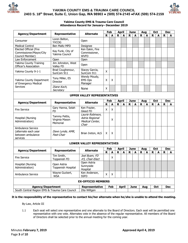



#### **Yakima County EMS & Trauma Care Council Attendance Record for January– December 2019**

| <b>Agency/Department</b>                                                   | Representative                              | <b>Alternate</b>                                                |             | Feb |             | <b>April</b> |   | <b>June</b> |             | Aug |   | <b>Oct</b> |             | <b>Dec</b> |
|----------------------------------------------------------------------------|---------------------------------------------|-----------------------------------------------------------------|-------------|-----|-------------|--------------|---|-------------|-------------|-----|---|------------|-------------|------------|
|                                                                            |                                             |                                                                 | R           | A   | R           | A            | R | A           | $\mathbf R$ | A   | R | A          | $\mathbf R$ | A          |
| Consumer                                                                   | Loren Belton,<br><b>YVCOG</b>               | Open                                                            |             |     |             |              |   |             |             |     |   |            |             |            |
| <b>Medical Control</b>                                                     | <b>Ben Maltz MPD</b>                        | Designee                                                        |             |     |             |              |   |             |             |     |   |            |             |            |
| Elected Official (Fire<br>Commissioner/Mayor/City<br>Council Member)       | Kay Funk, City of<br>Yakima Council         | Ken Eakin, Fire<br>Commissioner,<br><b>WVFD</b>                 |             |     |             |              |   |             |             |     |   |            |             |            |
| Law Enforcement                                                            | Open                                        | Open                                                            |             |     |             |              |   |             |             |     |   |            |             |            |
| Yakima County Training<br>Officer's Association                            | Jim Johnston, West<br>Valley FD             | Open                                                            |             |     |             |              |   |             |             |     |   |            |             |            |
| Yakima County 9-1-1                                                        | Brad Coughenour,<br>SunCom 911              | Stacey Garcia,<br>SunCom 911                                    | X           |     |             |              |   |             |             |     |   |            |             |            |
| Yakima County Department<br>of Emergency Medical                           | Tony Miller, ES<br>Director                 | Wendy Moudy,<br><b>EMS Ops</b><br>Manager                       | X           | X   |             |              |   |             |             |     |   |            |             |            |
| <b>Services</b>                                                            | Diane Koch,<br>Secretary                    | None                                                            | X           |     |             |              |   |             |             |     |   |            |             |            |
| <b>UPPER VALLEY REPRESENTATIVES</b>                                        |                                             |                                                                 |             |     |             |              |   |             |             |     |   |            |             |            |
| <b>Agency/Department</b>                                                   | Representative                              | <b>Alternate</b>                                                |             | Feb |             | <b>April</b> |   | <b>June</b> |             | Aug |   | Oct        |             | <b>Dec</b> |
|                                                                            |                                             |                                                                 | $\mathbf R$ | A   | $\mathbf R$ | A            | R | A           | R           | A   | R | A          | R           | A          |
| <b>Fire Service</b>                                                        | Gary Hanna, Selah<br><b>FD</b>              | Ken Frazier,<br>Gleed FD                                        | X           | X   |             |              |   |             |             |     |   |            |             |            |
| Hospital (Nursing<br>Administration)                                       | Tammy Pettis,<br>Virginia Mason<br>Memorial | Laurie Robinson,<br>Astria Regional<br>Medical Center,<br>Chair |             | X   |             |              |   |             |             |     |   |            |             |            |
| Ambulance Service<br>(alternate each year<br>between ambulance<br>services | Dave Lynde, AMR,<br>Past-Chair              | Brian Ireton, ALS                                               | X           | X   |             |              |   |             |             |     |   |            |             |            |
|                                                                            |                                             | <b>LOWER VALLEY REPRESENTATIVES</b>                             |             |     |             |              |   |             |             |     |   |            |             |            |
| <b>Agency/Department</b>                                                   | Representative                              | <b>Alternate</b>                                                |             | Feb |             | <b>April</b> |   | <b>June</b> |             | Aug |   | Oct        |             | <b>Dec</b> |
|                                                                            |                                             |                                                                 | $\mathbf R$ | A   | R           | A            | R | A           | R           | A   | R | A          | R           | A          |
| <b>Fire Service</b>                                                        | Tim Smith,<br>Toppenish FD                  | Joel Byam, FD<br>#5, Chair-Elect                                |             | X   |             |              |   |             |             |     |   |            |             |            |
| Hospital (Nursing<br>Administration)                                       | Open Astria<br>Toppenish Hospital           | Open Astria<br>Sunnyside<br>Hospital                            |             |     |             |              |   |             |             |     |   |            |             |            |
| Ambulance Service                                                          | Wayne Guckert,<br><b>WSA</b>                | Ken Anderson,<br><b>SSFD</b>                                    | Χ           | X   |             |              |   |             |             |     |   |            |             |            |
|                                                                            |                                             | <b>EX-OFFICIO MEMBERS</b>                                       |             |     |             |              |   |             |             |     |   |            |             |            |
| <b>Agency/Department</b>                                                   |                                             | <b>Representative</b>                                           |             | Feb |             | <b>April</b> |   | <b>June</b> |             | Aug |   | Oct        |             | <b>Dec</b> |
| South Central Region EMS & Trauma Care Council                             |                                             | Zita Wiltgen                                                    |             |     |             |              |   |             |             |     |   |            |             |            |

#### **It is the responsibility of the representative to contact his/her alternate when he/she is unable to attend the meeting.**

By-Law, Article III

1.1 Each seat will select one representative and one alternate to the Board of Directors. Each seat will be permitted one representative with one vote. Alternates vote in the absence of the regular representative. All members of the Board of Directors shall be selected prior to the annual meeting for the coming year.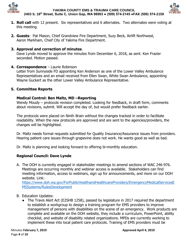



- **1. Roll call** with 12 present. Six representatives and 6 alternates. Two alternates were voting at this meeting.
- **2. Guests**: Pat Mason, Chief Grandview Fire Department, Suzy Beck, Airlift Northwest, Aaron Markham, Chief City of Yakima Fire Department.

# **3. Approval and correction of minutes**.

Dave Lynde moved to approve the minutes from December 6, 2018, as sent. Ken Frazier seconded. Motion passed.

# **4. Correspondence** – Laurie Robinson

Letter from Sunnyside FD appointing Ken Anderson as one of the Lower Valley Ambulance Representatives and an email received from Ellen Swan, White Swan Ambulance, appointing Wayne Guckert as the other Lower Valley Ambulance Representative.

# **5. Committee Reports**

# **Medical Control: Ben Maltz, MD –Reporting**

Wendy Moudy – protocols revision completed. Looking for feedback, in draft form, comments about revisions, submit. Will accept the day of, but would prefer feedback earlier.

The protocols were placed on Ninth Brain without the changes tracked in order to facilitate readability. When the new protocols are approved and are sent to the agencies/providers, the changes will be highlighted.

Dr. Maltz needs formal requests submitted for Quality Insurance/Assurance issues from providers. Hearing patient care issues through grapevine does not work. He wants good as well as bad.

Dr. Maltz is planning and looking forward to offering bi-monthly education.

# **Regional Council: Dave Lynde**

A. The DOH is currently engaged in stakeholder meetings to amend sections of WAC 246-976. Meetings are occurring monthly and webinar access is available. Stakeholders can find meeting information, access to webinars, sign up for announcements, and more on our DOH website. Link:

https://www.doh.wa.gov/ForPublicHealthandHealthcareProviders/EmergencyMedicalServicesE MSSystems/RulesDevelopment

- B. Education Updates:
	- The Travis Alert Act (E2SHB 1258), passed by legislature in 2017 required the department to establish a workgroup to design a training program for EMS providers to improve management of persons with disabilities on the scene of an emergency. Work products are complete and available on the DOH website, they include a curriculum, PowerPoint, ability checklist, and website of disability related organizations. MPDs are currently working to implement these into local patient care protocols. Training of EMS providers must be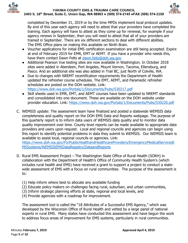



completed by December 31, 2019 or by the time MPDs implement local protocol updates. By end of this year each agency will need to attest that your providers have completed the training. Each agency will have to attest as they come up for renewal, for example if your agency renews in September, then you will need to attest that all of your providers are trained in September. There are xix different sections to deal with different abilities. The EMS Office plans on making this available on Ninth Brain.

- Voucher applications for initial EMS certification examination are still being accepted. Expire at end of February 2019 for EMR, EMT or AEMT. If you have a provider who needs this, have them contact Dawn Felts at [dawn.felts@doh.wa.gov](mailto:dawn.felts@doh.wa.gov)
- Additional Pearson Vue testing sites are now available in Washington. In October 2018 sites were added in Aberdeen, Port Angeles, Mount Vernon, Tacoma, Ellensburg, and Pasco. And an additional site was also added in Trail BC, just North of Colville, WA.
- Due to changes with NREMT recertification requirements the Department of Health updated the refresher course schedules. The EMT, AEMT, and Paramedic refresher schedules are posted on the DOH website. Link: <https://www.doh.wa.gov/Portals/1/Documents/Pubs/530217.pdf>
- Skill sheets used in EMR, EMT, and AEMT courses have been updated to NREMT standards and consolidated into one document. These are available on the DOH website under provider education. Link: <https://www.doh.wa.gov/Portals/1/Documents/Pubs/530226.pdf>
- C. WEMSIS update: The assessment team have finalized and posted a statewide WEMSIS data completeness and quality report on the DOH EMS Data and Reports webpage. The purpose of this quarterly report is to inform data users of WEMSIS data quality and to monitor data quality improvement over time. County level reports can be made available to appropriate data providers and users upon request. Local and regional councils and agencies can begin using this report to identify potential problems in data they submit to WEMSIS. Our WEMSIS team is available to assist local, regional councils or agencies. Link:

[https://www.doh.wa.gov/ForPublicHealthandHealthcareProviders/EmergencyMedicalServicesE](https://www.doh.wa.gov/ForPublicHealthandHealthcareProviders/EmergencyMedicalServicesEMSSystems/WEMSISEMSDataRegistry/DataandReports) [MSSystems/WEMSISEMSDataRegistry/DataandReports](https://www.doh.wa.gov/ForPublicHealthandHealthcareProviders/EmergencyMedicalServicesEMSSystems/WEMSISEMSDataRegistry/DataandReports)

- D. Rural EMS Assessment Project The Washington State Office of Rural Health (SORH) in collaboration with the Department of Health's Office of Community Health System's (which includes rural health and EMS) have received a grant to support a project to conduct a statewide assessment of EMS with a focus on rural communities. The purpose of the assessment is to:
	- (1) Help inform where best to allocate any available funding
	- (2) Educate policy makers on challenges facing rural, suburban, and urban communities,
	- (3) Inform strategic planning efforts at state, regional and local levels, and
	- (4) Provide agencies with a roadmap for improvement.

The assessment tool is called the "18 Attributes of a Successful EMS Agency," which was developed by the Wisconsin Office of Rural Health and vetted by a large panel of national experts in rural EMS. Many states have conducted this assessment and have begun the work to address focus areas of improvement for EMS systems, particularly in rural communities.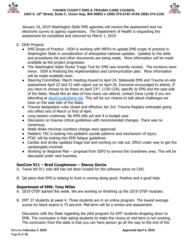



January 10, 2019 Washington State EMS agencies will receive the assessment tool via electronic survey to agency supervisors. The Department of Health is requesting the assessment be completed and returned by March 1, 2019.

- E. DOH Projects
	- EMS Scope of Practice DOH is working with MPD's to update EMS scope of practice in Washington State in consideration of anticipated national updates. Updates to the skills and procedures list and other documents are being made. More information will be made available as the project progresses.
	- The Washington State Stroke Triage Tool for EMS was recently revised. The revisions were minor. DOH is finalizing the implementation and communication plan. More information will be made available soon.
	- Steering Committee: March meeting moved to April 24. Statewide EMS and Trauma on-site assessment April 22 and 23 with report out on April 26. Everyone encouraged to attend. If you have to choose to be there on April 23<sup>rd</sup>, 1130-1330, specific to EMS and the east side of the State. Would like an idea of how many can attend, contact Dave Lynde if you are attending at [david.lynde@amr.net.](mailto:david.lynde@amr.net) This will be our chance to talk about challenges we have on the east side of the State.
	- Trauma designation rules closed and effective Jan 3rd. Trauma Registry anticipate going into effect end of March or first of April.
	- Long session underway. No EMS bills yet and it is budget year.
	- Discussion on trauma critical guidelines with recommended changes. There was no consensus.
	- Walla Walla min/max numbers change were approved.
	- Pediatric TAC is looking into pediatric suicide patterns and mechanism of injury.
	- PTAC will be looking into EMS fatigue guidelines.
	- Cardiac and stroke updated triage tool and working on role out. Effort under way to get the cardiologists involved.
	- Working on Regional Plan proposal from SSFD to service the Grandview area. This will be discussed under new business.

# **SunCom 911 – Brad Coughenour – Stacey Garcia**

- A. Travis bill 911 side still has not been funded for the software piece on CAD.
- B. QA piece that EMS is helping to fund is coming along good. Positive and a good help.

# **Department of EMS: Tony Miller**

- A. 2019 OTEP started this week. We are working on finishing up the 2019 OTEP modules.
- B. EMT 37 students at week 4. Three students are in an online program. The lowest average scores for block exams is 73 percent. Mid-term will be a review and assessment.

Discussion with the State regarding the pilot program for EMT students dropping down to EMR. The conclusion is that asking students to make the choice at mid-term is not working. The conclusion from the state is that you can have person go all the way to the end of the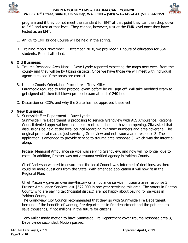



program and if they do not meet the standard for EMT at that point they can then drop down to EMR and test at that level. They cannot, however, test at the EMR level once they have tested as an EMT.

- C. An RN to EMT Bridge Course will be held in the spring.
- D. Training report November December 2018, we provided 91 hours of education for 364 students. Report attached.

# **6. Old Business:**

- A. Trauma Response Area Maps Dave Lynde reported expecting the maps next week from the county and they will be by taxing districts. Once we have those we will meet with individual agencies to see if the areas are correct.
- B. Update County Orientation Procedure Tony Miller Paramedic required to take protocol exam before he will sign off. Will take modified exam to get signed off, then full blown protocol exam at end of 240 hours.
- C. Discussion on COPs and why the State has not approved these yet.

# **7. New Business:**

A. Sunnyside Fire Department – Dave Lynde

Sunnyside Fire Department is proposing to service Grandview with ALS Ambulance. Regional Council denied approval because the current plan does not have an opening. Zita asked that discussions be held at the local council regarding min/max numbers and area coverage. The original proposal read as just servicing Grandview and not trauma area response 3. The application is amended to provide service to trauma area response 3, which was the intent all along.

Prosser Memorial Ambulance service was serving Grandview, and now will no longer due to costs. In addition, Prosser was not a trauma verified agency in Yakima County.

Chief Anderson wanted to ensure that the local Council was informed of decisions, as there could be more questions from the State. With amended application it will now fit in the Regional Plan.

Chief Mason – gave an overview/history on ambulance service in trauma area response 3. Prosser Ambulance Services lost \$672,000 in one year servicing this area. The voters in Benton County who are paying tax (hospital district) are not happy about paying for services in Yakima County.

The Grandview City Council recommended that they go with Sunnyside Fire Department, because of the benefits of working fire department to fire department and the potential to save thousands, if not millions in the future for citizens.

Tony Miller made motion to have Sunnyside Fire Department cover trauma response area 3, Dave Lynde seconded. Motion passed.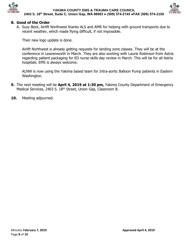



## **8. Good of the Order**

A. Suzy Beck, Airlift Northwest thanks ALS and AMR for helping with ground transports due to recent weather, which made flying difficult, if not impossible.

Their new logo update is done.

Airlift Northwest is already getting requests for landing zone classes. They will be at the conference in Leavenworth in March. They are also working with Laurie Robinson from Astria regarding patient packaging for ED nurse skills day review in March. This will be for all Astria hospitals. EMS is always welcome.

ALNW is now using the Yakima based team for Intra-aortic Balloon Pump patients in Eastern Washington.

- **9.** The next meeting will be **April 4, 2019 at 1:30 pm,** Yakima County Department of Emergency Medical Services, 2403 S. 18<sup>th</sup> Street, Union Gap, Classroom B.
- **10.** Meeting adjourned.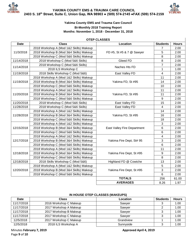



## **Yakima County EMS and Trauma Care Council Bi-Monthly 2018 Training Report Months: November 1, 2018 - December 31, 2018**

#### **OTEP CLASSES**

| <b>Date</b> | <b>Class</b>                            | Location                    | <b>Students</b> | <b>Hours</b> |
|-------------|-----------------------------------------|-----------------------------|-----------------|--------------|
|             | 2018 Workshop A (Mod 1&2 Skills) Makeup |                             | 7               | 2.00         |
| 11/3/2018   | 2018 Workshop B (Mod 3&4 Skills) Makeup | FD #5, St #5 & 7 @ Sawyer   | 5               | 2.00         |
|             | 2018 Workshop C (Mod 5&6 Skills) Makeup |                             | 8               | 2.00         |
| 11/14/2018  | 2018 Workshop C (Mod 5&6 Skills)        | Gleed FD                    | 8               | 2.00         |
| 11/14/2018  | 2018 Workshop C (Mod 5&6 Skills)        | Naches Hts FD               | $\overline{7}$  | 2.00         |
|             | 2018 ILS Workshop C                     |                             | 1               | 1.00         |
| 11/19/2018  | 2018 Skills Workshop C (Mod 5&6)        | East Valley FD              | $\overline{4}$  | 2.00         |
|             | 2018 Workshop A (Mod 1&2 Skills) Makeup |                             | 11              | 2.00         |
| 11/19/2018  | 2018 Workshop B (Mod 3&4 Skills) Makeup | Yakima FD, St #95           | 14              | 2.00         |
|             | 2018 Workshop C (Mod 5&6 Skills) Makeup |                             | 10              | 2.00         |
|             | 2018 Workshop A (Mod 1&2 Skills) Makeup |                             | 11              | 2.00         |
| 11/20/2018  | 2018 Workshop B (Mod 3&4 Skills) Makeup | Yakima FD, St #95           | 11              | 2.00         |
|             | 2018 Workshop C (Mod 5&6 Skills) Makeup |                             | 9               | 2.00         |
| 11/20/2018  | 2018 Workshop C (Mod 5&6 Skills)        | East Valley FD              | 15              | 2.00         |
| 11/28/2018  | 2018 Workshop C (Mod 5&6 Skills)        | East Valley FD              | $\overline{4}$  | 2.00         |
| 11/28/2018  | 2018 Workshop A (Mod 1&2 Skills) Makeup |                             | 14              | 2.00         |
|             | 2018 Workshop B (Mod 3&4 Skills) Makeup | Yakima FD, St #95           | 16              | 2.00         |
|             | 2018 Workshop C (Mod 5&6 Skills) Makeup |                             | 18              | 2.00         |
|             | 2018 Workshop A (Mod 1&2 Skills) Makeup |                             | 3               | 2.00         |
| 12/15/2018  | 2018 Workshop B (Mod 3&4 Skills) Makeup | East Valley Fire Department | $6\phantom{1}$  | 2.00         |
|             | 2018 Workshop C (Mod 5&6 Skills) Makeup |                             | $6\phantom{a}$  | 2.00         |
|             | 2018 Workshop A (Mod 1&2 Skills) Makeup |                             | $\overline{4}$  | 2.00         |
| 12/17/2018  | 2018 Workshop B (Mod 3&4 Skills) Makeup | Yakima Fire Dept, St# 95    | 3               | 2.00         |
|             | 2018 Workshop C (Mod 5&6 Skills) Makeup |                             | $6\phantom{a}$  | 2.00         |
|             | 2018 Workshop A (Mod 1&2 Skills) Makeup |                             | 11              | 2.00         |
| 12/18/2018  | 2018 Workshop B (Mod 3&4 Skills) Makeup | Yakima Fire Dept, St #95    | 9               | 2.00         |
|             | 2018 Workshop C (Mod 5&6 Skills) Makeup |                             | 8               | 2.00         |
| 12/18/2018  | 2018 Skills Workshop C (Mod 5&6)        | Highland FD @ Cowiche       | 13              | 2.00         |
|             | 2018 Workshop A (Mod 1&2 Skills) Makeup |                             | 5               | 2.00         |
| 12/20/2018  | 2018 Workshop B (Mod 3&4 Skills) Makeup | Yakima Fire Dept, St #95    | 3               | 2.00         |
|             | 2018 Workshop C (Mod 5&6 Skills) Makeup |                             | $6\phantom{a}$  | 2.00         |
|             |                                         | <b>TOTALS</b>               | 256             | 61.00        |
|             |                                         | <b>AVERAGES</b>             | 8.26            | 1.97         |

### **IN HOUSE OTEP CLASSES (MAKEUPS)**

| Date       | <b>Class</b>           | <b>Location</b> | <b>Students</b> | <b>Hours</b> |
|------------|------------------------|-----------------|-----------------|--------------|
| 11/17/2018 | 2016 Workshop C Makeup | Sawyer          |                 | 1.00         |
| 11/17/2018 | 2017 Workshop A Makeup | Sawver          |                 | 1.00         |
| 11/17/2018 | 2017 Workshop B Makeup | Sawver          |                 | 1.00         |
| 11/17/2018 | 2017 Workshop C Makeup | Sawver          |                 | 1.00         |
| 12/5/2018  | 2017 Workshop C Makeup | Grandview       |                 | 1.00         |
| 12/5/2018  | 2018 ILS Workshop A    | Sunnyside       |                 | 1.00         |